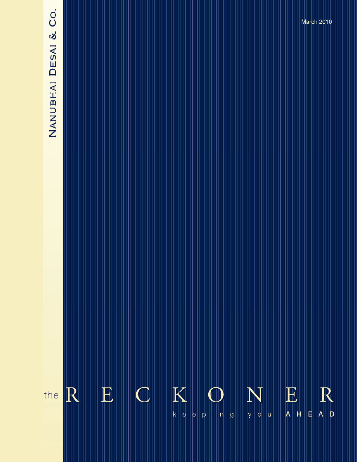# NANUBHAI DESAI & CO.

 $\overline{\mathrm{R}}$ 

the

 $K$  $N_{\rm y, o, u}$  $\begin{array}{ll} \mathbf{E} & \\ \mathbf{A} & \mathbf{H} & \mathbf{E} \end{array}$  $\mathbf{E}$  $\mathbb C$  $R$  $\vert$ e  $|p|$  i n  $|g|$ 

**The Reckoner….** keeping you ahead **June 2009**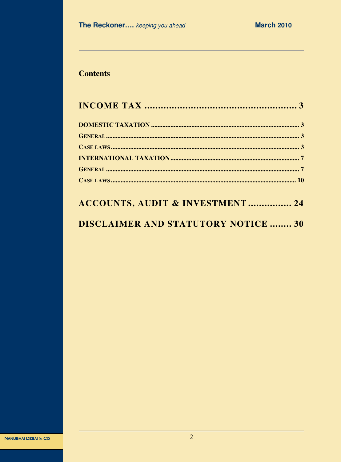## **Contents**

# ACCOUNTS, AUDIT & INVESTMENT ................. 24

# **DISCLAIMER AND STATUTORY NOTICE ........ 30**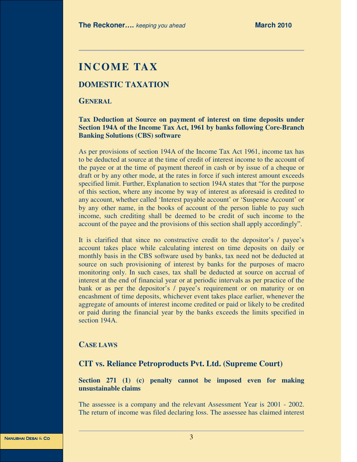# **INCOME TAX**

### **DOMESTIC TAXATION**

### **GENERAL**

### **Tax Deduction at Source on payment of interest on time deposits under Section 194A of the Income Tax Act, 1961 by banks following Core-Branch Banking Solutions (CBS) software**

As per provisions of section 194A of the Income Tax Act 1961, income tax has to be deducted at source at the time of credit of interest income to the account of the payee or at the time of payment thereof in cash or by issue of a cheque or draft or by any other mode, at the rates in force if such interest amount exceeds specified limit. Further, Explanation to section 194A states that "for the purpose of this section, where any income by way of interest as aforesaid is credited to any account, whether called 'Interest payable account' or 'Suspense Account' or by any other name, in the books of account of the person liable to pay such income, such crediting shall be deemed to be credit of such income to the account of the payee and the provisions of this section shall apply accordingly".

It is clarified that since no constructive credit to the depositor's / payee's account takes place while calculating interest on time deposits on daily or monthly basis in the CBS software used by banks, tax need not be deducted at source on such provisioning of interest by banks for the purposes of macro monitoring only. In such cases, tax shall be deducted at source on accrual of interest at the end of financial year or at periodic intervals as per practice of the bank or as per the depositor's / payee's requirement or on maturity or on encashment of time deposits, whichever event takes place earlier, whenever the aggregate of amounts of interest income credited or paid or likely to be credited or paid during the financial year by the banks exceeds the limits specified in section 194A.

### **CASE LAWS**

### **CIT vs. Reliance Petroproducts Pvt. Ltd. (Supreme Court)**

### **Section 271 (1) (c) penalty cannot be imposed even for making unsustainable claims**

The assessee is a company and the relevant Assessment Year is 2001 - 2002. The return of income was filed declaring loss. The assessee has claimed interest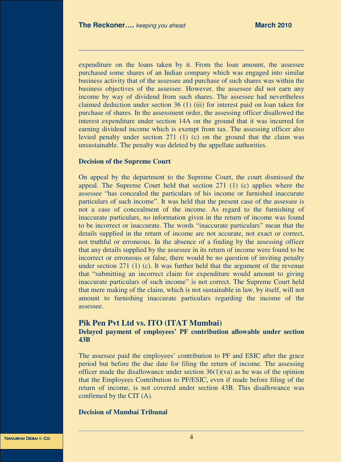expenditure on the loans taken by it. From the loan amount, the assessee purchased some shares of an Indian company which was engaged into similar business activity that of the assessee and purchase of such shares was within the business objectives of the assessee. However, the assessee did not earn any income by way of dividend from such shares. The assessee had nevertheless claimed deduction under section 36 (1) (iii) for interest paid on loan taken for purchase of shares. In the assessment order, the assessing officer disallowed the interest expenditure under section 14A on the ground that it was incurred for earning dividend income which is exempt from tax. The assessing officer also levied penalty under section 271 (1) (c) on the ground that the claim was unsustainable. The penalty was deleted by the appellate authorities.

### **Decision of the Supreme Court**

On appeal by the department to the Supreme Court, the court dismissed the appeal. The Supreme Court held that section 271 (1) (c) applies where the assessee "has concealed the particulars of his income or furnished inaccurate particulars of such income". It was held that the present case of the assessee is not a case of concealment of the income. As regard to the furnishing of inaccurate particulars, no information given in the return of income was found to be incorrect or inaccurate. The words "inaccurate particulars" mean that the details supplied in the return of income are not accurate, not exact or correct, not truthful or erroneous. In the absence of a finding by the assessing officer that any details supplied by the assessee in its return of income were found to be incorrect or erroneous or false, there would be no question of inviting penalty under section 271 (1) (c). It was further held that the argument of the revenue that "submitting an incorrect claim for expenditure would amount to giving inaccurate particulars of such income" is not correct. The Supreme Court held that mere making of the claim, which is not sustainable in law, by itself, will not amount to furnishing inaccurate particulars regarding the income of the assessee.

# **Pik Pen Pvt Ltd vs. ITO (ITAT Mumbai)**

### **Delayed payment of employees' PF contribution allowable under section 43B**

The assessee paid the employees' contribution to PF and ESIC after the grace period but before the due date for filing the return of income. The assessing officer made the disallowance under section  $36(1)(va)$  as he was of the opinion that the Employees Contribution to PF/ESIC, even if made before filing of the return of income, is not covered under section 43B. This disallowance was confirmed by the CIT (A).

### **Decision of Mumbai Tribunal**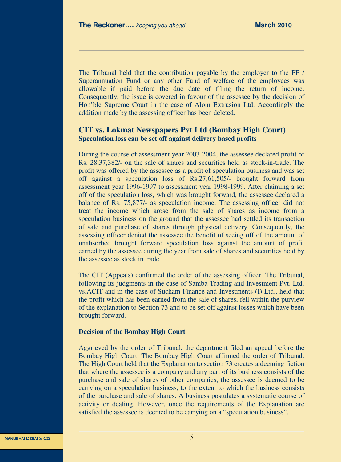The Tribunal held that the contribution payable by the employer to the PF / Superannuation Fund or any other Fund of welfare of the employees was allowable if paid before the due date of filing the return of income. Consequently, the issue is covered in favour of the assessee by the decision of Hon'ble Supreme Court in the case of Alom Extrusion Ltd. Accordingly the addition made by the assessing officer has been deleted.

### **CIT vs. Lokmat Newspapers Pvt Ltd (Bombay High Court) Speculation loss can be set off against delivery based profits**

During the course of assessment year 2003-2004, the assessee declared profit of Rs. 28,37,382/- on the sale of shares and securities held as stock-in-trade. The profit was offered by the assessee as a profit of speculation business and was set off against a speculation loss of Rs.27,61,505/- brought forward from assessment year 1996-1997 to assessment year 1998-1999. After claiming a set off of the speculation loss, which was brought forward, the assessee declared a balance of Rs. 75,877/- as speculation income. The assessing officer did not treat the income which arose from the sale of shares as income from a speculation business on the ground that the assessee had settled its transaction of sale and purchase of shares through physical delivery. Consequently, the assessing officer denied the assessee the benefit of seeing off of the amount of unabsorbed brought forward speculation loss against the amount of profit earned by the assessee during the year from sale of shares and securities held by the assessee as stock in trade.

The CIT (Appeals) confirmed the order of the assessing officer. The Tribunal, following its judgments in the case of Samba Trading and Investment Pvt. Ltd. vs.ACIT and in the case of Sucham Finance and Investments (I) Ltd., held that the profit which has been earned from the sale of shares, fell within the purview of the explanation to Section 73 and to be set off against losses which have been brought forward.

### **Decision of the Bombay High Court**

Aggrieved by the order of Tribunal, the department filed an appeal before the Bombay High Court. The Bombay High Court affirmed the order of Tribunal. The High Court held that the Explanation to section 73 creates a deeming fiction that where the assessee is a company and any part of its business consists of the purchase and sale of shares of other companies, the assessee is deemed to be carrying on a speculation business, to the extent to which the business consists of the purchase and sale of shares. A business postulates a systematic course of activity or dealing. However, once the requirements of the Explanation are satisfied the assessee is deemed to be carrying on a "speculation business".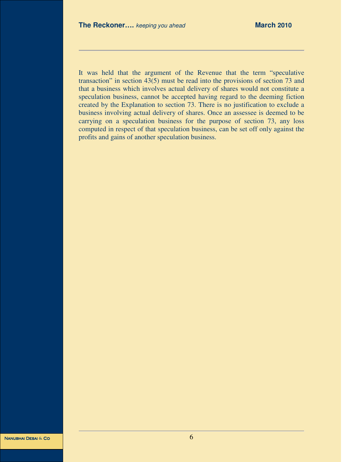It was held that the argument of the Revenue that the term "speculative transaction" in section 43(5) must be read into the provisions of section 73 and that a business which involves actual delivery of shares would not constitute a speculation business, cannot be accepted having regard to the deeming fiction created by the Explanation to section 73. There is no justification to exclude a business involving actual delivery of shares. Once an assessee is deemed to be carrying on a speculation business for the purpose of section 73, any loss computed in respect of that speculation business, can be set off only against the profits and gains of another speculation business.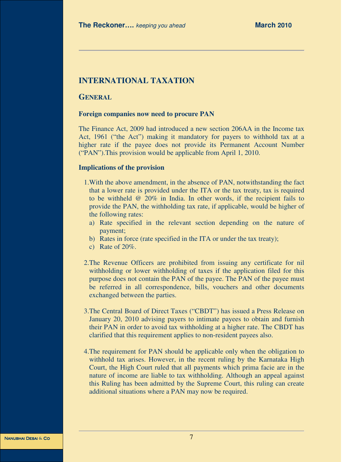### **INTERNATIONAL TAXATION**

### **GENERAL**

### **Foreign companies now need to procure PAN**

The Finance Act, 2009 had introduced a new section 206AA in the Income tax Act, 1961 ("the Act") making it mandatory for payers to withhold tax at a higher rate if the payee does not provide its Permanent Account Number ("PAN").This provision would be applicable from April 1, 2010.

### **Implications of the provision**

- 1.With the above amendment, in the absence of PAN, notwithstanding the fact that a lower rate is provided under the ITA or the tax treaty, tax is required to be withheld @ 20% in India. In other words, if the recipient fails to provide the PAN, the withholding tax rate, if applicable, would be higher of the following rates:
	- a) Rate specified in the relevant section depending on the nature of payment;
	- b) Rates in force (rate specified in the ITA or under the tax treaty);
	- c) Rate of 20%.
- 2.The Revenue Officers are prohibited from issuing any certificate for nil withholding or lower withholding of taxes if the application filed for this purpose does not contain the PAN of the payee. The PAN of the payee must be referred in all correspondence, bills, vouchers and other documents exchanged between the parties.
- 3.The Central Board of Direct Taxes ("CBDT") has issued a Press Release on January 20, 2010 advising payers to intimate payees to obtain and furnish their PAN in order to avoid tax withholding at a higher rate. The CBDT has clarified that this requirement applies to non-resident payees also.
- 4.The requirement for PAN should be applicable only when the obligation to withhold tax arises. However, in the recent ruling by the Karnataka High Court, the High Court ruled that all payments which prima facie are in the nature of income are liable to tax withholding. Although an appeal against this Ruling has been admitted by the Supreme Court, this ruling can create additional situations where a PAN may now be required.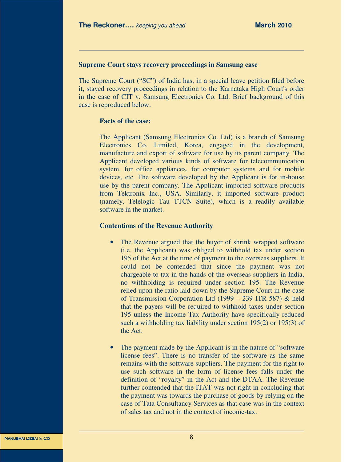### **Supreme Court stays recovery proceedings in Samsung case**

The Supreme Court ("SC") of India has, in a special leave petition filed before it, stayed recovery proceedings in relation to the Karnataka High Court's order in the case of CIT v. Samsung Electronics Co. Ltd. Brief background of this case is reproduced below.

### **Facts of the case:**

The Applicant (Samsung Electronics Co. Ltd) is a branch of Samsung Electronics Co. Limited, Korea, engaged in the development, manufacture and export of software for use by its parent company. The Applicant developed various kinds of software for telecommunication system, for office appliances, for computer systems and for mobile devices, etc. The software developed by the Applicant is for in-house use by the parent company. The Applicant imported software products from Tektronix Inc., USA. Similarly, it imported software product (namely, Telelogic Tau TTCN Suite), which is a readily available software in the market.

### **Contentions of the Revenue Authority**

- The Revenue argued that the buyer of shrink wrapped software (i.e. the Applicant) was obliged to withhold tax under section 195 of the Act at the time of payment to the overseas suppliers. It could not be contended that since the payment was not chargeable to tax in the hands of the overseas suppliers in India, no withholding is required under section 195. The Revenue relied upon the ratio laid down by the Supreme Court in the case of Transmission Corporation Ltd (1999 – 239 ITR 587) & held that the payers will be required to withhold taxes under section 195 unless the Income Tax Authority have specifically reduced such a withholding tax liability under section 195(2) or 195(3) of the Act.
- The payment made by the Applicant is in the nature of "software" license fees". There is no transfer of the software as the same remains with the software suppliers. The payment for the right to use such software in the form of license fees falls under the definition of "royalty" in the Act and the DTAA. The Revenue further contended that the ITAT was not right in concluding that the payment was towards the purchase of goods by relying on the case of Tata Consultancy Services as that case was in the context of sales tax and not in the context of income-tax.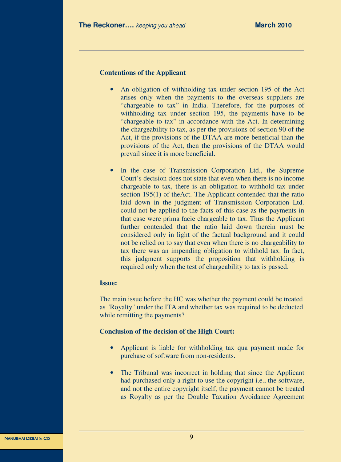### **Contentions of the Applicant**

- An obligation of withholding tax under section 195 of the Act arises only when the payments to the overseas suppliers are "chargeable to tax" in India. Therefore, for the purposes of withholding tax under section 195, the payments have to be "chargeable to tax" in accordance with the Act. In determining the chargeability to tax, as per the provisions of section 90 of the Act, if the provisions of the DTAA are more beneficial than the provisions of the Act, then the provisions of the DTAA would prevail since it is more beneficial.
- In the case of Transmission Corporation Ltd., the Supreme Court's decision does not state that even when there is no income chargeable to tax, there is an obligation to withhold tax under section 195(1) of theAct. The Applicant contended that the ratio laid down in the judgment of Transmission Corporation Ltd. could not be applied to the facts of this case as the payments in that case were prima facie chargeable to tax. Thus the Applicant further contended that the ratio laid down therein must be considered only in light of the factual background and it could not be relied on to say that even when there is no chargeability to tax there was an impending obligation to withhold tax. In fact, this judgment supports the proposition that withholding is required only when the test of chargeability to tax is passed.

### **Issue:**

The main issue before the HC was whether the payment could be treated as "Royalty" under the ITA and whether tax was required to be deducted while remitting the payments?

### **Conclusion of the decision of the High Court:**

- Applicant is liable for withholding tax qua payment made for purchase of software from non-residents.
- The Tribunal was incorrect in holding that since the Applicant had purchased only a right to use the copyright i.e., the software, and not the entire copyright itself, the payment cannot be treated as Royalty as per the Double Taxation Avoidance Agreement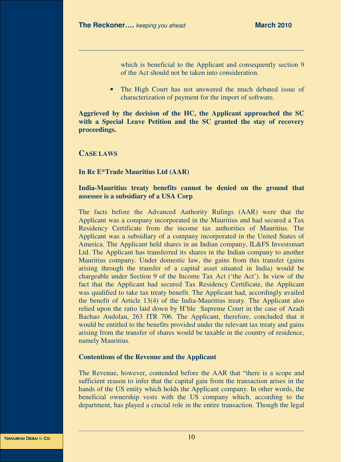which is beneficial to the Applicant and consequently section 9 of the Act should not be taken into consideration.

• The High Court has not answered the much debated issue of characterization of payment for the import of software.

**Aggrieved by the decision of the HC, the Applicant approached the SC with a Special Leave Petition and the SC granted the stay of recovery proceedings.** 

### **CASE LAWS**

### **In Re E\*Trade Mauritius Ltd (AAR)**

### **India-Mauritius treaty benefits cannot be denied on the ground that assessee is a subsidiary of a USA Corp**

The facts before the Advanced Authority Rulings (AAR) were that the Applicant was a company incorporated in the Mauritius and had secured a Tax Residency Certificate from the income tax authorities of Mauritius. The Applicant was a subsidiary of a company incorporated in the United States of America. The Applicant held shares in an Indian company, IL&FS Investsmart Ltd. The Applicant has transferred its shares in the Indian company to another Mauritius company. Under domestic law, the gains from this transfer (gains arising through the transfer of a capital asset situated in India) would be chargeable under Section 9 of the Income Tax Act ('the Act'). In view of the fact that the Applicant had secured Tax Residency Certificate, the Applicant was qualified to take tax treaty benefit. The Applicant had, accordingly availed the benefit of Article 13(4) of the India-Mauritius treaty. The Applicant also relied upon the ratio laid down by H'ble Supreme Court in the case of Azadi Bachao Andolan, 263 ITR 706. The Applicant, therefore, concluded that it would be entitled to the benefits provided under the relevant tax treaty and gains arising from the transfer of shares would be taxable in the country of residence, namely Mauritius.

### **Contentions of the Revenue and the Applicant**

The Revenue, however, contended before the AAR that "there is a scope and sufficient reason to infer that the capital gain from the transaction arises in the hands of the US entity which holds the Applicant company. In other words, the beneficial ownership vests with the US company which, according to the department, has played a crucial role in the entire transaction. Though the legal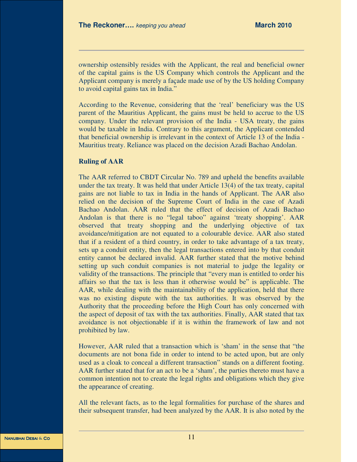ownership ostensibly resides with the Applicant, the real and beneficial owner of the capital gains is the US Company which controls the Applicant and the Applicant company is merely a façade made use of by the US holding Company to avoid capital gains tax in India."

According to the Revenue, considering that the 'real' beneficiary was the US parent of the Mauritius Applicant, the gains must be held to accrue to the US company. Under the relevant provision of the India - USA treaty, the gains would be taxable in India. Contrary to this argument, the Applicant contended that beneficial ownership is irrelevant in the context of Article 13 of the India - Mauritius treaty. Reliance was placed on the decision Azadi Bachao Andolan.

### **Ruling of AAR**

The AAR referred to CBDT Circular No. 789 and upheld the benefits available under the tax treaty. It was held that under Article 13(4) of the tax treaty, capital gains are not liable to tax in India in the hands of Applicant. The AAR also relied on the decision of the Supreme Court of India in the case of Azadi Bachao Andolan. AAR ruled that the effect of decision of Azadi Bachao Andolan is that there is no "legal taboo" against 'treaty shopping'. AAR observed that treaty shopping and the underlying objective of tax avoidance/mitigation are not equated to a colourable device. AAR also stated that if a resident of a third country, in order to take advantage of a tax treaty, sets up a conduit entity, then the legal transactions entered into by that conduit entity cannot be declared invalid. AAR further stated that the motive behind setting up such conduit companies is not material to judge the legality or validity of the transactions. The principle that "every man is entitled to order his affairs so that the tax is less than it otherwise would be" is applicable. The AAR, while dealing with the maintainability of the application, held that there was no existing dispute with the tax authorities. It was observed by the Authority that the proceeding before the High Court has only concerned with the aspect of deposit of tax with the tax authorities. Finally, AAR stated that tax avoidance is not objectionable if it is within the framework of law and not prohibited by law.

However, AAR ruled that a transaction which is 'sham' in the sense that "the documents are not bona fide in order to intend to be acted upon, but are only used as a cloak to conceal a different transaction" stands on a different footing. AAR further stated that for an act to be a 'sham', the parties thereto must have a common intention not to create the legal rights and obligations which they give the appearance of creating.

All the relevant facts, as to the legal formalities for purchase of the shares and their subsequent transfer, had been analyzed by the AAR. It is also noted by the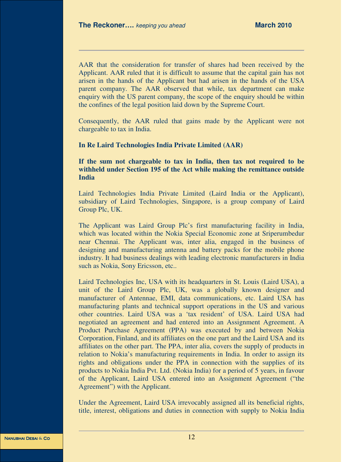AAR that the consideration for transfer of shares had been received by the Applicant. AAR ruled that it is difficult to assume that the capital gain has not arisen in the hands of the Applicant but had arisen in the hands of the USA parent company. The AAR observed that while, tax department can make enquiry with the US parent company, the scope of the enquiry should be within the confines of the legal position laid down by the Supreme Court.

Consequently, the AAR ruled that gains made by the Applicant were not chargeable to tax in India.

### **In Re Laird Technologies India Private Limited (AAR)**

**If the sum not chargeable to tax in India, then tax not required to be withheld under Section 195 of the Act while making the remittance outside India** 

Laird Technologies India Private Limited (Laird India or the Applicant), subsidiary of Laird Technologies, Singapore, is a group company of Laird Group Plc, UK.

The Applicant was Laird Group Plc's first manufacturing facility in India, which was located within the Nokia Special Economic zone at Sriperumbedur near Chennai. The Applicant was, inter alia, engaged in the business of designing and manufacturing antenna and battery packs for the mobile phone industry. It had business dealings with leading electronic manufacturers in India such as Nokia, Sony Ericsson, etc..

Laird Technologies Inc, USA with its headquarters in St. Louis (Laird USA), a unit of the Laird Group Plc, UK, was a globally known designer and manufacturer of Antennae, EMI, data communications, etc. Laird USA has manufacturing plants and technical support operations in the US and various other countries. Laird USA was a 'tax resident' of USA. Laird USA had negotiated an agreement and had entered into an Assignment Agreement. A Product Purchase Agreement (PPA) was executed by and between Nokia Corporation, Finland, and its affiliates on the one part and the Laird USA and its affiliates on the other part. The PPA, inter alia, covers the supply of products in relation to Nokia's manufacturing requirements in India. In order to assign its rights and obligations under the PPA in connection with the supplies of its products to Nokia India Pvt. Ltd. (Nokia India) for a period of 5 years, in favour of the Applicant, Laird USA entered into an Assignment Agreement ("the Agreement") with the Applicant.

Under the Agreement, Laird USA irrevocably assigned all its beneficial rights, title, interest, obligations and duties in connection with supply to Nokia India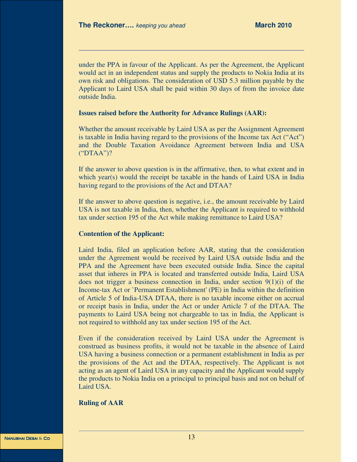under the PPA in favour of the Applicant. As per the Agreement, the Applicant would act in an independent status and supply the products to Nokia India at its own risk and obligations. The consideration of USD 5.3 million payable by the Applicant to Laird USA shall be paid within 30 days of from the invoice date outside India.

### **Issues raised before the Authority for Advance Rulings (AAR):**

Whether the amount receivable by Laird USA as per the Assignment Agreement is taxable in India having regard to the provisions of the Income tax Act ("Act") and the Double Taxation Avoidance Agreement between India and USA ("DTAA")?

If the answer to above question is in the affirmative, then, to what extent and in which year(s) would the receipt be taxable in the hands of Laird USA in India having regard to the provisions of the Act and DTAA?

If the answer to above question is negative, i.e., the amount receivable by Laird USA is not taxable in India, then, whether the Applicant is required to withhold tax under section 195 of the Act while making remittance to Laird USA?

### **Contention of the Applicant:**

Laird India, filed an application before AAR, stating that the consideration under the Agreement would be received by Laird USA outside India and the PPA and the Agreement have been executed outside India. Since the capital asset that inheres in PPA is located and transferred outside India, Laird USA does not trigger a business connection in India, under section  $9(1)(i)$  of the Income-tax Act or `Permanent Establishment' (PE) in India within the definition of Article 5 of India-USA DTAA, there is no taxable income either on accrual or receipt basis in India, under the Act or under Article 7 of the DTAA. The payments to Laird USA being not chargeable to tax in India, the Applicant is not required to withhold any tax under section 195 of the Act.

Even if the consideration received by Laird USA under the Agreement is construed as business profits, it would not be taxable in the absence of Laird USA having a business connection or a permanent establishment in India as per the provisions of the Act and the DTAA, respectively. The Applicant is not acting as an agent of Laird USA in any capacity and the Applicant would supply the products to Nokia India on a principal to principal basis and not on behalf of Laird USA.

### **Ruling of AAR**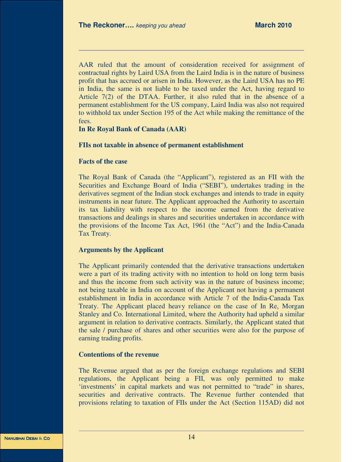AAR ruled that the amount of consideration received for assignment of contractual rights by Laird USA from the Laird India is in the nature of business profit that has accrued or arisen in India. However, as the Laird USA has no PE in India, the same is not liable to be taxed under the Act, having regard to Article 7(2) of the DTAA. Further, it also ruled that in the absence of a permanent establishment for the US company, Laird India was also not required to withhold tax under Section 195 of the Act while making the remittance of the fees.

**In Re Royal Bank of Canada (AAR)** 

### **FIIs not taxable in absence of permanent establishment**

### **Facts of the case**

The Royal Bank of Canada (the "Applicant"), registered as an FII with the Securities and Exchange Board of India ("SEBI"), undertakes trading in the derivatives segment of the Indian stock exchanges and intends to trade in equity instruments in near future. The Applicant approached the Authority to ascertain its tax liability with respect to the income earned from the derivative transactions and dealings in shares and securities undertaken in accordance with the provisions of the Income Tax Act, 1961 (the "Act") and the India-Canada Tax Treaty.

### **Arguments by the Applicant**

The Applicant primarily contended that the derivative transactions undertaken were a part of its trading activity with no intention to hold on long term basis and thus the income from such activity was in the nature of business income; not being taxable in India on account of the Applicant not having a permanent establishment in India in accordance with Article 7 of the India-Canada Tax Treaty. The Applicant placed heavy reliance on the case of In Re, Morgan Stanley and Co. International Limited, where the Authority had upheld a similar argument in relation to derivative contracts. Similarly, the Applicant stated that the sale / purchase of shares and other securities were also for the purpose of earning trading profits.

### **Contentions of the revenue**

The Revenue argued that as per the foreign exchange regulations and SEBI regulations, the Applicant being a FII, was only permitted to make 'investments' in capital markets and was not permitted to "trade" in shares, securities and derivative contracts. The Revenue further contended that provisions relating to taxation of FIIs under the Act (Section 115AD) did not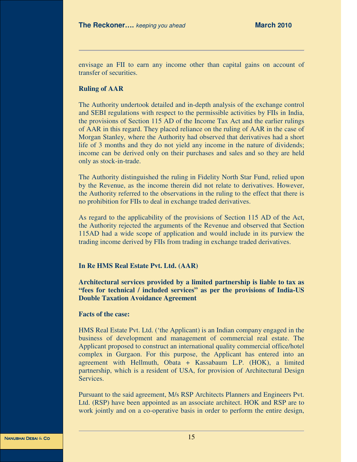envisage an FII to earn any income other than capital gains on account of transfer of securities.

### **Ruling of AAR**

The Authority undertook detailed and in-depth analysis of the exchange control and SEBI regulations with respect to the permissible activities by FIIs in India, the provisions of Section 115 AD of the Income Tax Act and the earlier rulings of AAR in this regard. They placed reliance on the ruling of AAR in the case of Morgan Stanley, where the Authority had observed that derivatives had a short life of 3 months and they do not yield any income in the nature of dividends; income can be derived only on their purchases and sales and so they are held only as stock-in-trade.

The Authority distinguished the ruling in Fidelity North Star Fund, relied upon by the Revenue, as the income therein did not relate to derivatives. However, the Authority referred to the observations in the ruling to the effect that there is no prohibition for FIIs to deal in exchange traded derivatives.

As regard to the applicability of the provisions of Section 115 AD of the Act, the Authority rejected the arguments of the Revenue and observed that Section 115AD had a wide scope of application and would include in its purview the trading income derived by FIIs from trading in exchange traded derivatives.

### **In Re HMS Real Estate Pvt. Ltd. (AAR)**

**Architectural services provided by a limited partnership is liable to tax as "fees for technical / included services" as per the provisions of India-US Double Taxation Avoidance Agreement** 

### **Facts of the case:**

HMS Real Estate Pvt. Ltd. ('the Applicant) is an Indian company engaged in the business of development and management of commercial real estate. The Applicant proposed to construct an international quality commercial office/hotel complex in Gurgaon. For this purpose, the Applicant has entered into an agreement with Hellmuth, Obata + Kassabaum L.P. (HOK), a limited partnership, which is a resident of USA, for provision of Architectural Design Services.

Pursuant to the said agreement, M/s RSP Architects Planners and Engineers Pvt. Ltd. (RSP) have been appointed as an associate architect. HOK and RSP are to work jointly and on a co-operative basis in order to perform the entire design,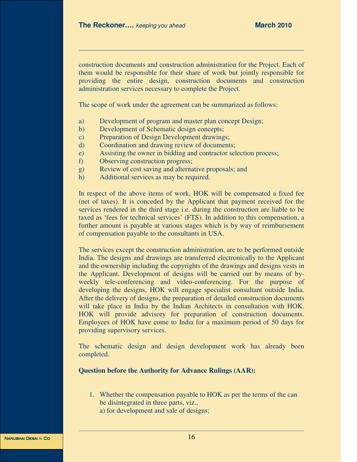construction documents and construction administration for the Project. Each of them would be responsible for their share of work but jointly responsible for providing the entire design, construction documents and construction administration services necessary to complete the Project.

The scope of work under the agreement can be summarized as follows:

- a) Development of program and master plan concept Design;
- b) Development of Schematic design concepts;
- c) Preparation of Design Development drawings;
- d) Coordination and drawing review of documents;
- e) Assisting the owner in bidding and contractor selection process;
- f) Observing construction progress;
- g) Review of cost saving and alternative proposals; and
- h) Additional services as may be required.

In respect of the above items of work, HOK will be compensated a fixed fee (net of taxes). It is conceded by the Applicant that payment received for the services rendered in the third stage i.e. during the construction are liable to be taxed as 'fees for technical services' (FTS). In addition to this compensation, a further amount is payable at various stages which is by way of reimbursement of compensation payable to the consultants in USA.

The services except the construction administration, are to be performed outside India. The designs and drawings are transferred electronically to the Applicant and the ownership including the copyrights of the drawings and designs vests in the Applicant. Development of designs will be carried out by means of byweekly tele-conferencing and video-conferencing. For the purpose of developing the designs, HOK will engage specialist consultant outside India. After the delivery of designs, the preparation of detailed construction documents will take place in India by the Indian Architects in consultation with HOK. HOK will provide advisory for preparation of construction documents. Employees of HOK have come to India for a maximum period of 50 days for providing supervisory services.

The schematic design and design development work has already been completed.

### **Question before the Authority for Advance Rulings (AAR):**

- 1. Whether the compensation payable to HOK as per the terms of the can be disintegrated in three parts, viz.,
	- a) for development and sale of designs;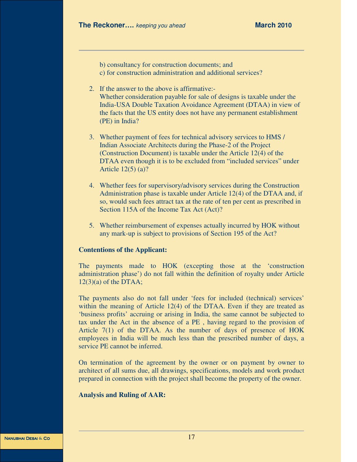b) consultancy for construction documents; and c) for construction administration and additional services?

- 2. If the answer to the above is affirmative:- Whether consideration payable for sale of designs is taxable under the India-USA Double Taxation Avoidance Agreement (DTAA) in view of the facts that the US entity does not have any permanent establishment (PE) in India?
- 3. Whether payment of fees for technical advisory services to HMS / Indian Associate Architects during the Phase-2 of the Project (Construction Document) is taxable under the Article 12(4) of the DTAA even though it is to be excluded from "included services" under Article 12(5) (a)?
- 4. Whether fees for supervisory/advisory services during the Construction Administration phase is taxable under Article 12(4) of the DTAA and, if so, would such fees attract tax at the rate of ten per cent as prescribed in Section 115A of the Income Tax Act (Act)?
- 5. Whether reimbursement of expenses actually incurred by HOK without any mark-up is subject to provisions of Section 195 of the Act?

### **Contentions of the Applicant:**

The payments made to HOK (excepting those at the 'construction administration phase') do not fall within the definition of royalty under Article  $12(3)(a)$  of the DTAA;

The payments also do not fall under 'fees for included (technical) services' within the meaning of Article 12(4) of the DTAA. Even if they are treated as 'business profits' accruing or arising in India, the same cannot be subjected to tax under the Act in the absence of a PE , having regard to the provision of Article 7(1) of the DTAA. As the number of days of presence of HOK employees in India will be much less than the prescribed number of days, a service PE cannot be inferred.

On termination of the agreement by the owner or on payment by owner to architect of all sums due, all drawings, specifications, models and work product prepared in connection with the project shall become the property of the owner.

### **Analysis and Ruling of AAR:**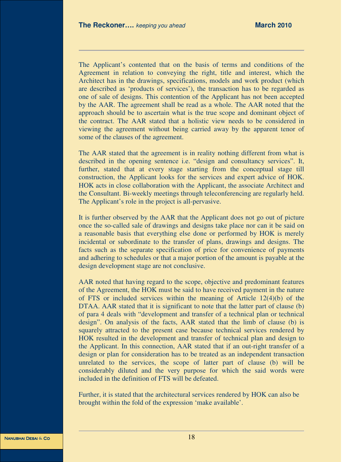The Applicant's contented that on the basis of terms and conditions of the Agreement in relation to conveying the right, title and interest, which the Architect has in the drawings, specifications, models and work product (which are described as 'products of services'), the transaction has to be regarded as one of sale of designs. This contention of the Applicant has not been accepted by the AAR. The agreement shall be read as a whole. The AAR noted that the approach should be to ascertain what is the true scope and dominant object of the contract. The AAR stated that a holistic view needs to be considered in viewing the agreement without being carried away by the apparent tenor of some of the clauses of the agreement.

The AAR stated that the agreement is in reality nothing different from what is described in the opening sentence i.e. "design and consultancy services". It, further, stated that at every stage starting from the conceptual stage till construction, the Applicant looks for the services and expert advice of HOK. HOK acts in close collaboration with the Applicant, the associate Architect and the Consultant. Bi-weekly meetings through teleconferencing are regularly held. The Applicant's role in the project is all-pervasive.

It is further observed by the AAR that the Applicant does not go out of picture once the so-called sale of drawings and designs take place nor can it be said on a reasonable basis that everything else done or performed by HOK is merely incidental or subordinate to the transfer of plans, drawings and designs. The facts such as the separate specification of price for convenience of payments and adhering to schedules or that a major portion of the amount is payable at the design development stage are not conclusive.

AAR noted that having regard to the scope, objective and predominant features of the Agreement, the HOK must be said to have received payment in the nature of FTS or included services within the meaning of Article 12(4)(b) of the DTAA. AAR stated that it is significant to note that the latter part of clause (b) of para 4 deals with "development and transfer of a technical plan or technical design". On analysis of the facts, AAR stated that the limb of clause (b) is squarely attracted to the present case because technical services rendered by HOK resulted in the development and transfer of technical plan and design to the Applicant. In this connection, AAR stated that if an out-right transfer of a design or plan for consideration has to be treated as an independent transaction unrelated to the services, the scope of latter part of clause (b) will be considerably diluted and the very purpose for which the said words were included in the definition of FTS will be defeated.

Further, it is stated that the architectural services rendered by HOK can also be brought within the fold of the expression 'make available'.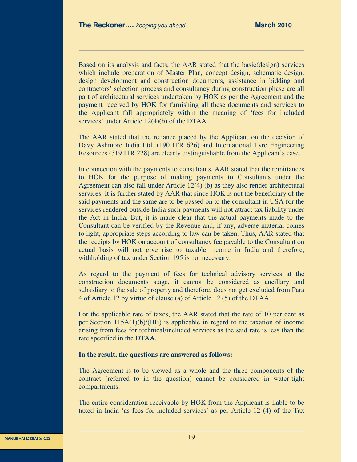Based on its analysis and facts, the AAR stated that the basic(design) services which include preparation of Master Plan, concept design, schematic design, design development and construction documents, assistance in bidding and contractors' selection process and consultancy during construction phase are all part of architectural services undertaken by HOK as per the Agreement and the payment received by HOK for furnishing all these documents and services to the Applicant fall appropriately within the meaning of 'fees for included services' under Article 12(4)(b) of the DTAA.

The AAR stated that the reliance placed by the Applicant on the decision of Davy Ashmore India Ltd. (190 ITR 626) and International Tyre Engineering Resources (319 ITR 228) are clearly distinguishable from the Applicant's case.

In connection with the payments to consultants, AAR stated that the remittances to HOK for the purpose of making payments to Consultants under the Agreement can also fall under Article 12(4) (b) as they also render architectural services. It is further stated by AAR that since HOK is not the beneficiary of the said payments and the same are to be passed on to the consultant in USA for the services rendered outside India such payments will not attract tax liability under the Act in India. But, it is made clear that the actual payments made to the Consultant can be verified by the Revenue and, if any, adverse material comes to light, appropriate steps according to law can be taken. Thus, AAR stated that the receipts by HOK on account of consultancy fee payable to the Consultant on actual basis will not give rise to taxable income in India and therefore, withholding of tax under Section 195 is not necessary.

As regard to the payment of fees for technical advisory services at the construction documents stage, it cannot be considered as ancillary and subsidiary to the sale of property and therefore, does not get excluded from Para 4 of Article 12 by virtue of clause (a) of Article 12 (5) of the DTAA.

For the applicable rate of taxes, the AAR stated that the rate of 10 per cent as per Section 115A(1)(b)/(BB) is applicable in regard to the taxation of income arising from fees for technical/included services as the said rate is less than the rate specified in the DTAA.

### **In the result, the questions are answered as follows:**

The Agreement is to be viewed as a whole and the three components of the contract (referred to in the question) cannot be considered in water-tight compartments.

The entire consideration receivable by HOK from the Applicant is liable to be taxed in India 'as fees for included services' as per Article 12 (4) of the Tax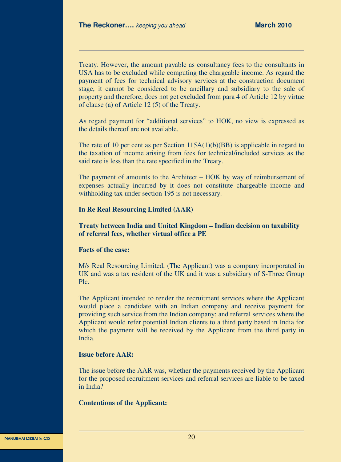Treaty. However, the amount payable as consultancy fees to the consultants in USA has to be excluded while computing the chargeable income. As regard the payment of fees for technical advisory services at the construction document stage, it cannot be considered to be ancillary and subsidiary to the sale of property and therefore, does not get excluded from para 4 of Article 12 by virtue of clause (a) of Article 12 (5) of the Treaty.

As regard payment for "additional services" to HOK, no view is expressed as the details thereof are not available.

The rate of 10 per cent as per Section  $115A(1)(b)(BB)$  is applicable in regard to the taxation of income arising from fees for technical/included services as the said rate is less than the rate specified in the Treaty.

The payment of amounts to the Architect – HOK by way of reimbursement of expenses actually incurred by it does not constitute chargeable income and withholding tax under section 195 is not necessary.

### **In Re Real Resourcing Limited (AAR)**

### **Treaty between India and United Kingdom – Indian decision on taxability of referral fees, whether virtual office a PE**

### **Facts of the case:**

M/s Real Resourcing Limited, (The Applicant) was a company incorporated in UK and was a tax resident of the UK and it was a subsidiary of S-Three Group Plc.

The Applicant intended to render the recruitment services where the Applicant would place a candidate with an Indian company and receive payment for providing such service from the Indian company; and referral services where the Applicant would refer potential Indian clients to a third party based in India for which the payment will be received by the Applicant from the third party in India.

### **Issue before AAR:**

The issue before the AAR was, whether the payments received by the Applicant for the proposed recruitment services and referral services are liable to be taxed in India?

### **Contentions of the Applicant:**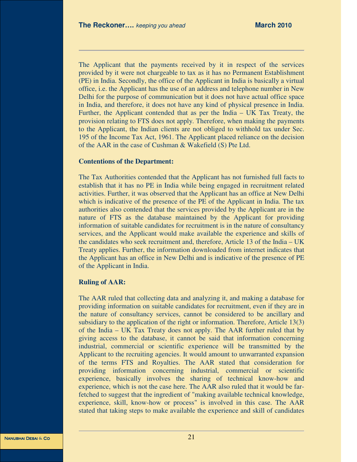The Applicant that the payments received by it in respect of the services provided by it were not chargeable to tax as it has no Permanent Establishment (PE) in India. Secondly, the office of the Applicant in India is basically a virtual office, i.e. the Applicant has the use of an address and telephone number in New Delhi for the purpose of communication but it does not have actual office space in India, and therefore, it does not have any kind of physical presence in India. Further, the Applicant contended that as per the India – UK Tax Treaty, the provision relating to FTS does not apply. Therefore, when making the payments to the Applicant, the Indian clients are not obliged to withhold tax under Sec. 195 of the Income Tax Act, 1961. The Applicant placed reliance on the decision of the AAR in the case of Cushman & Wakefield (S) Pte Ltd.

### **Contentions of the Department:**

The Tax Authorities contended that the Applicant has not furnished full facts to establish that it has no PE in India while being engaged in recruitment related activities. Further, it was observed that the Applicant has an office at New Delhi which is indicative of the presence of the PE of the Applicant in India. The tax authorities also contended that the services provided by the Applicant are in the nature of FTS as the database maintained by the Applicant for providing information of suitable candidates for recruitment is in the nature of consultancy services, and the Applicant would make available the experience and skills of the candidates who seek recruitment and, therefore, Article 13 of the India – UK Treaty applies. Further, the information downloaded from internet indicates that the Applicant has an office in New Delhi and is indicative of the presence of PE of the Applicant in India.

### **Ruling of AAR:**

The AAR ruled that collecting data and analyzing it, and making a database for providing information on suitable candidates for recruitment, even if they are in the nature of consultancy services, cannot be considered to be ancillary and subsidiary to the application of the right or information. Therefore, Article 13(3) of the India – UK Tax Treaty does not apply. The AAR further ruled that by giving access to the database, it cannot be said that information concerning industrial, commercial or scientific experience will be transmitted by the Applicant to the recruiting agencies. It would amount to unwarranted expansion of the terms FTS and Royalties. The AAR stated that consideration for providing information concerning industrial, commercial or scientific experience, basically involves the sharing of technical know-how and experience, which is not the case here. The AAR also ruled that it would be farfetched to suggest that the ingredient of "making available technical knowledge, experience, skill, know-how or process" is involved in this case. The AAR stated that taking steps to make available the experience and skill of candidates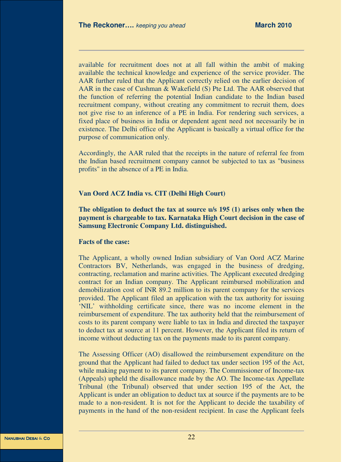available for recruitment does not at all fall within the ambit of making available the technical knowledge and experience of the service provider. The AAR further ruled that the Applicant correctly relied on the earlier decision of AAR in the case of Cushman & Wakefield (S) Pte Ltd. The AAR observed that the function of referring the potential Indian candidate to the Indian based recruitment company, without creating any commitment to recruit them, does not give rise to an inference of a PE in India. For rendering such services, a fixed place of business in India or dependent agent need not necessarily be in existence. The Delhi office of the Applicant is basically a virtual office for the purpose of communication only.

Accordingly, the AAR ruled that the receipts in the nature of referral fee from the Indian based recruitment company cannot be subjected to tax as "business profits" in the absence of a PE in India.

### **Van Oord ACZ India vs. CIT (Delhi High Court)**

**The obligation to deduct the tax at source u/s 195 (1) arises only when the payment is chargeable to tax. Karnataka High Court decision in the case of Samsung Electronic Company Ltd. distinguished.** 

### **Facts of the case:**

The Applicant, a wholly owned Indian subsidiary of Van Oord ACZ Marine Contractors BV, Netherlands, was engaged in the business of dredging, contracting, reclamation and marine activities. The Applicant executed dredging contract for an Indian company. The Applicant reimbursed mobilization and demobilization cost of INR 89.2 million to its parent company for the services provided. The Applicant filed an application with the tax authority for issuing 'NIL' withholding certificate since, there was no income element in the reimbursement of expenditure. The tax authority held that the reimbursement of costs to its parent company were liable to tax in India and directed the taxpayer to deduct tax at source at 11 percent. However, the Applicant filed its return of income without deducting tax on the payments made to its parent company.

The Assessing Officer (AO) disallowed the reimbursement expenditure on the ground that the Applicant had failed to deduct tax under section 195 of the Act, while making payment to its parent company. The Commissioner of Income-tax (Appeals) upheld the disallowance made by the AO. The Income-tax Appellate Tribunal (the Tribunal) observed that under section 195 of the Act, the Applicant is under an obligation to deduct tax at source if the payments are to be made to a non-resident. It is not for the Applicant to decide the taxability of payments in the hand of the non-resident recipient. In case the Applicant feels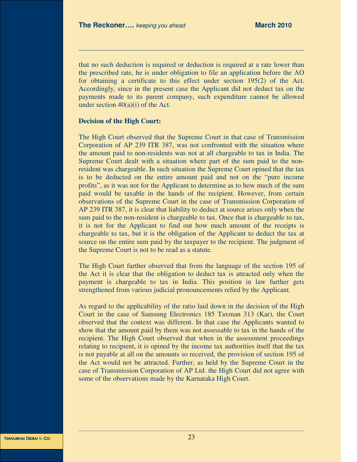that no such deduction is required or deduction is required at a rate lower than the prescribed rate, he is under obligation to file an application before the AO for obtaining a certificate to this effect under section 195(2) of the Act. Accordingly, since in the present case the Applicant did not deduct tax on the payments made to its parent company, such expenditure cannot be allowed under section  $40(a)(i)$  of the Act.

### **Decision of the High Court:**

The High Court observed that the Supreme Court in that case of Transmission Corporation of AP 239 ITR 387, was not confronted with the situation where the amount paid to non-residents was not at all chargeable to tax in India. The Supreme Court dealt with a situation where part of the sum paid to the nonresident was chargeable. In such situation the Supreme Court opined that the tax is to be deducted on the entire amount paid and not on the "pure income profits", as it was not for the Applicant to determine as to how much of the sum paid would be taxable in the hands of the recipient. However, from certain observations of the Supreme Court in the case of Transmission Corporation of AP 239 ITR 387, it is clear that liability to deduct at source arises only when the sum paid to the non-resident is chargeable to tax. Once that is chargeable to tax, it is not for the Applicant to find out how much amount of the receipts is chargeable to tax, but it is the obligation of the Applicant to deduct the tax at source on the entire sum paid by the taxpayer to the recipient. The judgment of the Supreme Court is not to be read as a statute.

The High Court further observed that from the language of the section 195 of the Act it is clear that the obligation to deduct tax is attracted only when the payment is chargeable to tax in India. This position in law further gets strengthened from various judicial pronouncements relied by the Applicant.

As regard to the applicability of the ratio laid down in the decision of the High Court in the case of Samsung Electronics 185 Taxman 313 (Kar), the Court observed that the context was different. In that case the Applicants wanted to show that the amount paid by them was not assessable to tax in the hands of the recipient. The High Court observed that when in the assessment proceedings relating to recipient, it is opined by the income tax authorities itself that the tax is not payable at all on the amounts so received, the provision of section 195 of the Act would not be attracted. Further, as held by the Supreme Court in the case of Transmission Corporation of AP Ltd. the High Court did not agree with some of the observations made by the Karnataka High Court.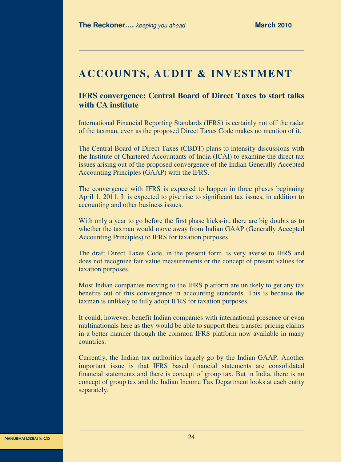# **ACCOUNTS, AUDIT & INVESTMENT**

### **IFRS convergence: Central Board of Direct Taxes to start talks with CA institute**

International Financial Reporting Standards (IFRS) is certainly not off the radar of the taxman, even as the proposed Direct Taxes Code makes no mention of it.

The Central Board of Direct Taxes (CBDT) plans to intensify discussions with the Institute of Chartered Accountants of India (ICAI) to examine the direct tax issues arising out of the proposed convergence of the Indian Generally Accepted Accounting Principles (GAAP) with the IFRS.

The convergence with IFRS is expected to happen in three phases beginning April 1, 2011. It is expected to give rise to significant tax issues, in addition to accounting and other business issues.

With only a year to go before the first phase kicks-in, there are big doubts as to whether the taxman would move away from Indian GAAP (Generally Accepted Accounting Principles) to IFRS for taxation purposes.

The draft Direct Taxes Code, in the present form, is very averse to IFRS and does not recognize fair value measurements or the concept of present values for taxation purposes.

Most Indian companies moving to the IFRS platform are unlikely to get any tax benefits out of this convergence in accounting standards. This is because the taxman is unlikely to fully adopt IFRS for taxation purposes.

It could, however, benefit Indian companies with international presence or even multinationals here as they would be able to support their transfer pricing claims in a better manner through the common IFRS platform now available in many countries.

Currently, the Indian tax authorities largely go by the Indian GAAP. Another important issue is that IFRS based financial statements are consolidated financial statements and there is concept of group tax. But in India, there is no concept of group tax and the Indian Income Tax Department looks at each entity separately.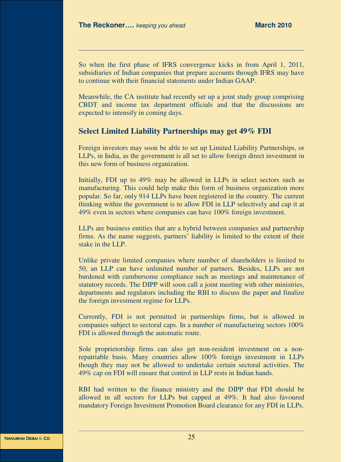So when the first phase of IFRS convergence kicks in from April 1, 2011, subsidiaries of Indian companies that prepare accounts through IFRS may have to continue with their financial statements under Indian GAAP.

Meanwhile, the CA institute had recently set up a joint study group comprising CBDT and income tax department officials and that the discussions are expected to intensify in coming days.

### **Select Limited Liability Partnerships may get 49% FDI**

Foreign investors may soon be able to set up Limited Liability Partnerships, or LLPs, in India, as the government is all set to allow foreign direct investment in this new form of business organization.

Initially, FDI up to 49% may be allowed in LLPs in select sectors such as manufacturing. This could help make this form of business organization more popular. So far, only 914 LLPs have been registered in the country. The current thinking within the government is to allow FDI in LLP selectively and cap it at 49% even in sectors where companies can have 100% foreign investment.

LLPs are business entities that are a hybrid between companies and partnership firms. As the name suggests, partners' liability is limited to the extent of their stake in the LLP.

Unlike private limited companies where number of shareholders is limited to 50, an LLP can have unlimited number of partners. Besides, LLPs are not burdened with cumbersome compliance such as meetings and maintenance of statutory records. The DIPP will soon call a joint meeting with other ministries, departments and regulators including the RBI to discuss the paper and finalize the foreign investment regime for LLPs.

Currently, FDI is not permitted in partnerships firms, but is allowed in companies subject to sectoral caps. In a number of manufacturing sectors 100% FDI is allowed through the automatic route.

Sole proprietorship firms can also get non-resident investment on a nonrepatriable basis. Many countries allow 100% foreign investment in LLPs though they may not be allowed to undertake certain sectoral activities. The 49% cap on FDI will ensure that control in LLP rests in Indian hands.

RBI had written to the finance ministry and the DIPP that FDI should be allowed in all sectors for LLPs but capped at 49%. It had also favoured mandatory Foreign Investment Promotion Board clearance for any FDI in LLPs.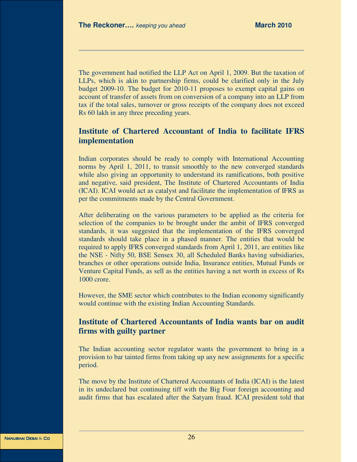The government had notified the LLP Act on April 1, 2009. But the taxation of LLPs, which is akin to partnership firms, could be clarified only in the July budget 2009-10. The budget for 2010-11 proposes to exempt capital gains on account of transfer of assets from on conversion of a company into an LLP from tax if the total sales, turnover or gross receipts of the company does not exceed Rs 60 lakh in any three preceding years.

### **Institute of Chartered Accountant of India to facilitate IFRS implementation**

Indian corporates should be ready to comply with International Accounting norms by April 1, 2011, to transit smoothly to the new converged standards while also giving an opportunity to understand its ramifications, both positive and negative, said president, The Institute of Chartered Accountants of India (ICAI). ICAI would act as catalyst and facilitate the implementation of IFRS as per the commitments made by the Central Government.

After deliberating on the various parameters to be applied as the criteria for selection of the companies to be brought under the ambit of IFRS converged standards, it was suggested that the implementation of the IFRS converged standards should take place in a phased manner. The entities that would be required to apply IFRS converged standards from April 1, 2011, are entities like the NSE - Nifty 50, BSE Sensex 30, all Scheduled Banks having subsidiaries, branches or other operations outside India, Insurance entities, Mutual Funds or Venture Capital Funds, as sell as the entities having a net worth in excess of Rs 1000 crore.

However, the SME sector which contributes to the Indian economy significantly would continue with the existing Indian Accounting Standards.

### **Institute of Chartered Accountants of India wants bar on audit firms with guilty partner**

The Indian accounting sector regulator wants the government to bring in a provision to bar tainted firms from taking up any new assignments for a specific period.

The move by the Institute of Chartered Accountants of India (ICAI) is the latest in its undeclared but continuing tiff with the Big Four foreign accounting and audit firms that has escalated after the Satyam fraud. ICAI president told that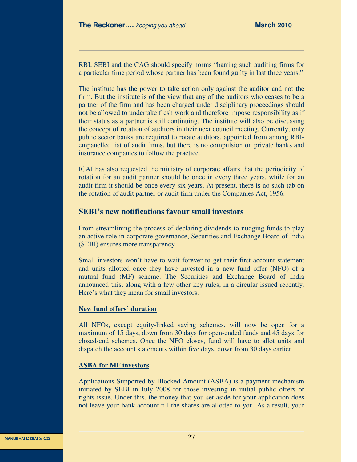RBI, SEBI and the CAG should specify norms "barring such auditing firms for a particular time period whose partner has been found guilty in last three years."

The institute has the power to take action only against the auditor and not the firm. But the institute is of the view that any of the auditors who ceases to be a partner of the firm and has been charged under disciplinary proceedings should not be allowed to undertake fresh work and therefore impose responsibility as if their status as a partner is still continuing. The institute will also be discussing the concept of rotation of auditors in their next council meeting. Currently, only public sector banks are required to rotate auditors, appointed from among RBIempanelled list of audit firms, but there is no compulsion on private banks and insurance companies to follow the practice.

ICAI has also requested the ministry of corporate affairs that the periodicity of rotation for an audit partner should be once in every three years, while for an audit firm it should be once every six years. At present, there is no such tab on the rotation of audit partner or audit firm under the Companies Act, 1956.

### **SEBI's new notifications favour small investors**

From streamlining the process of declaring dividends to nudging funds to play an active role in corporate governance, Securities and Exchange Board of India (SEBI) ensures more transparency

Small investors won't have to wait forever to get their first account statement and units allotted once they have invested in a new fund offer (NFO) of a mutual fund (MF) scheme. The Securities and Exchange Board of India announced this, along with a few other key rules, in a circular issued recently. Here's what they mean for small investors.

### **New fund offers' duration**

All NFOs, except equity-linked saving schemes, will now be open for a maximum of 15 days, down from 30 days for open-ended funds and 45 days for closed-end schemes. Once the NFO closes, fund will have to allot units and dispatch the account statements within five days, down from 30 days earlier.

### **ASBA for MF investors**

Applications Supported by Blocked Amount (ASBA) is a payment mechanism initiated by SEBI in July 2008 for those investing in initial public offers or rights issue. Under this, the money that you set aside for your application does not leave your bank account till the shares are allotted to you. As a result, your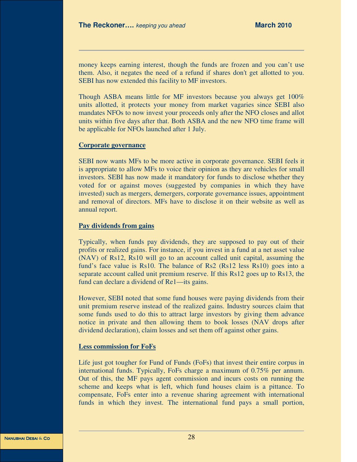money keeps earning interest, though the funds are frozen and you can't use them. Also, it negates the need of a refund if shares don't get allotted to you. SEBI has now extended this facility to MF investors.

Though ASBA means little for MF investors because you always get 100% units allotted, it protects your money from market vagaries since SEBI also mandates NFOs to now invest your proceeds only after the NFO closes and allot units within five days after that. Both ASBA and the new NFO time frame will be applicable for NFOs launched after 1 July.

### **Corporate governance**

SEBI now wants MFs to be more active in corporate governance. SEBI feels it is appropriate to allow MFs to voice their opinion as they are vehicles for small investors. SEBI has now made it mandatory for funds to disclose whether they voted for or against moves (suggested by companies in which they have invested) such as mergers, demergers, corporate governance issues, appointment and removal of directors. MFs have to disclose it on their website as well as annual report.

### **Pay dividends from gains**

Typically, when funds pay dividends, they are supposed to pay out of their profits or realized gains. For instance, if you invest in a fund at a net asset value (NAV) of Rs12, Rs10 will go to an account called unit capital, assuming the fund's face value is Rs10. The balance of Rs2 (Rs12 less Rs10) goes into a separate account called unit premium reserve. If this Rs12 goes up to Rs13, the fund can declare a dividend of Re1—its gains.

However, SEBI noted that some fund houses were paying dividends from their unit premium reserve instead of the realized gains. Industry sources claim that some funds used to do this to attract large investors by giving them advance notice in private and then allowing them to book losses (NAV drops after dividend declaration), claim losses and set them off against other gains.

### **Less commission for FoFs**

Life just got tougher for Fund of Funds (FoFs) that invest their entire corpus in international funds. Typically, FoFs charge a maximum of 0.75% per annum. Out of this, the MF pays agent commission and incurs costs on running the scheme and keeps what is left, which fund houses claim is a pittance. To compensate, FoFs enter into a revenue sharing agreement with international funds in which they invest. The international fund pays a small portion,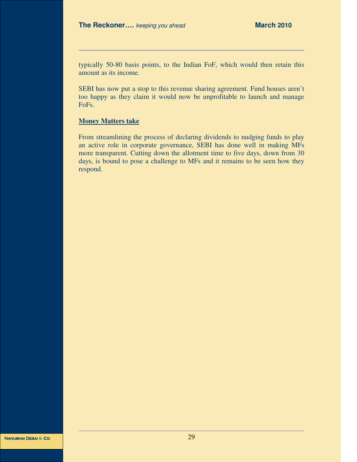typically 50-80 basis points, to the Indian FoF, which would then retain this amount as its income.

SEBI has now put a stop to this revenue sharing agreement. Fund houses aren't too happy as they claim it would now be unprofitable to launch and manage FoFs.

### **Money Matters take**

From streamlining the process of declaring dividends to nudging funds to play an active role in corporate governance, SEBI has done well in making MFs more transparent. Cutting down the allotment time to five days, down from 30 days, is bound to pose a challenge to MFs and it remains to be seen how they respond.